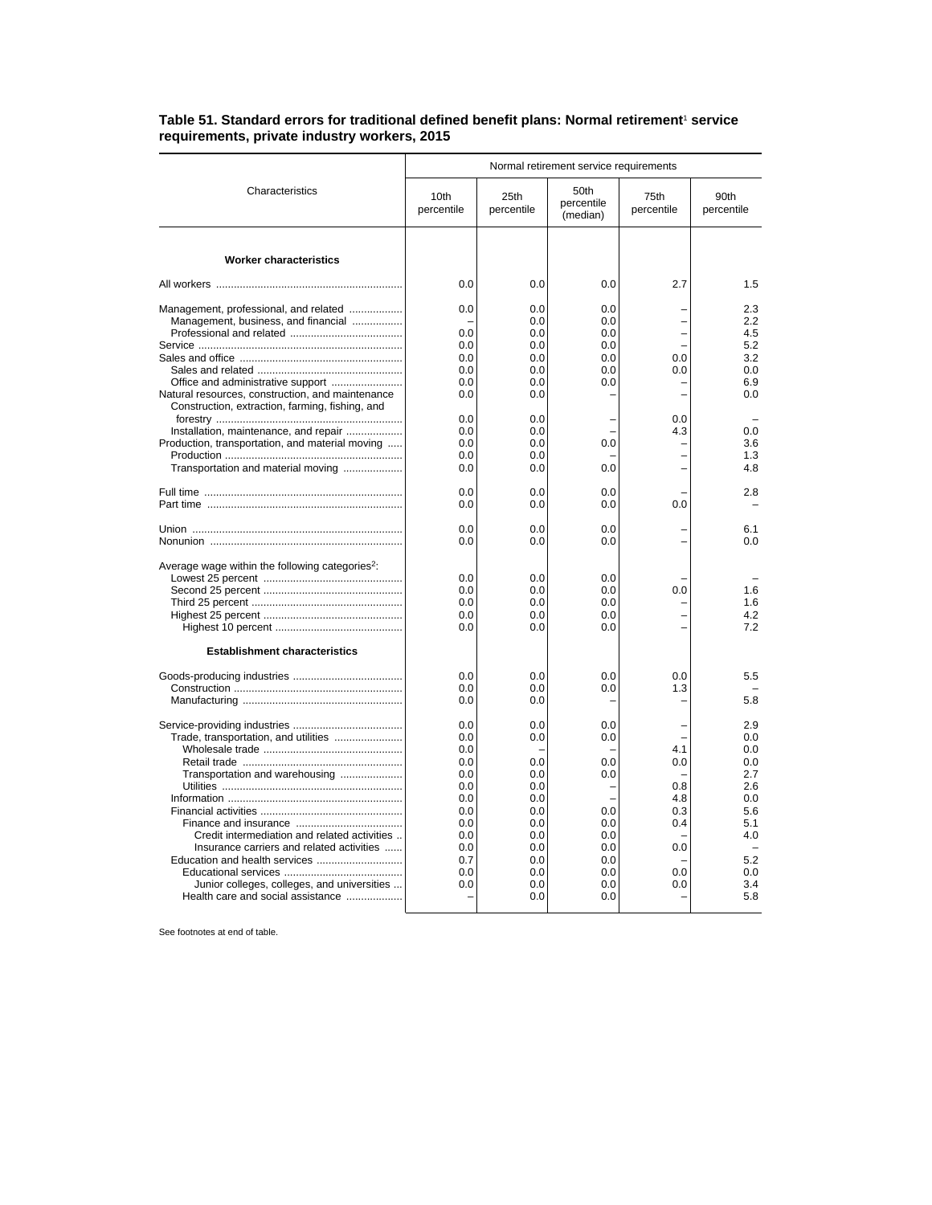## Table 51. Standard errors for traditional defined benefit plans: Normal retirement<sup>1</sup> service **requirements, private industry workers, 2015**

|                                                                                                                                             |                                               | Normal retirement service requirements        |                                        |                                 |                                        |  |  |
|---------------------------------------------------------------------------------------------------------------------------------------------|-----------------------------------------------|-----------------------------------------------|----------------------------------------|---------------------------------|----------------------------------------|--|--|
| Characteristics                                                                                                                             | 10th<br>percentile                            | 25th<br>percentile                            | 50th<br>percentile<br>(median)         | 75th<br>percentile              | 90th<br>percentile                     |  |  |
| <b>Worker characteristics</b>                                                                                                               |                                               |                                               |                                        |                                 |                                        |  |  |
|                                                                                                                                             | 0.0                                           | 0.0                                           | 0.0                                    | 2.7                             | 1.5                                    |  |  |
| Management, professional, and related<br>Management, business, and financial                                                                | 0.0<br>0.0<br>0.0<br>0.0                      | 0.0<br>0.0<br>0.0<br>0.0<br>0.0               | 0.0<br>0.0<br>0.0<br>0.0<br>0.0        | 0.0                             | 2.3<br>2.2<br>4.5<br>5.2<br>3.2        |  |  |
| Natural resources, construction, and maintenance                                                                                            | 0.0<br>0.0<br>0.0                             | 0.0<br>0.0<br>0.0                             | 0.0<br>0.0                             | 0.0                             | 0.0<br>6.9<br>0.0                      |  |  |
| Construction, extraction, farming, fishing, and<br>Installation, maintenance, and repair<br>Production, transportation, and material moving | 0.0<br>0.0<br>0.0<br>0.0                      | 0.0<br>0.0<br>0.0<br>0.0                      | 0.0                                    | 0.0<br>4.3                      | 0.0<br>3.6<br>1.3                      |  |  |
| Transportation and material moving                                                                                                          | 0.0                                           | 0.0                                           | 0.0                                    |                                 | 4.8                                    |  |  |
|                                                                                                                                             | 0.0<br>0.0                                    | 0.0<br>0.0                                    | 0.0<br>0.0                             | 0.0                             | 2.8                                    |  |  |
|                                                                                                                                             | 0.0<br>0.0                                    | 0.0<br>0.0                                    | 0.0<br>0.0                             |                                 | 6.1<br>0.0                             |  |  |
| Average wage within the following categories <sup>2</sup> :<br><b>Establishment characteristics</b>                                         | 0.0<br>0.0<br>0.0<br>0.0<br>0.0               | 0.0<br>0.0<br>0.0<br>0.0<br>0.0               | 0.0<br>0.0<br>0.0<br>0.0<br>0.0        | 0.0                             | 1.6<br>1.6<br>4.2<br>7.2               |  |  |
|                                                                                                                                             | 0.0<br>0.0<br>0.0                             | 0.0<br>0.0<br>0.0                             | 0.0<br>0.0                             | 0.0<br>1.3<br>L                 | 5.5<br>5.8                             |  |  |
| Trade, transportation, and utilities<br>Transportation and warehousing                                                                      | 0.0<br>0.0<br>0.0<br>0.0<br>0.0<br>0.0        | 0.0<br>0.0<br>0.0<br>0.0<br>0.0               | 0.0<br>0.0<br>0.0<br>0.0               | 4.1<br>0.0<br>0.8               | 2.9<br>0.0<br>0.0<br>0.0<br>2.7<br>2.6 |  |  |
| Credit intermediation and related activities<br>Insurance carriers and related activities                                                   | 0.0<br>0.0<br>0.0<br>0.0<br>0.0<br>0.7<br>0.0 | 0.0<br>0.0<br>0.0<br>0.0<br>0.0<br>0.0<br>0.0 | 0.0<br>0.0<br>0.0<br>0.0<br>0.0<br>0.0 | 4.8<br>0.3<br>0.4<br>0.0<br>0.0 | 0.0<br>5.6<br>5.1<br>4.0<br>5.2<br>0.0 |  |  |
| Junior colleges, colleges, and universities<br>Health care and social assistance                                                            | 0.0                                           | 0.0<br>0.0                                    | 0.0<br>0.0                             | 0.0                             | 3.4<br>5.8                             |  |  |

See footnotes at end of table.